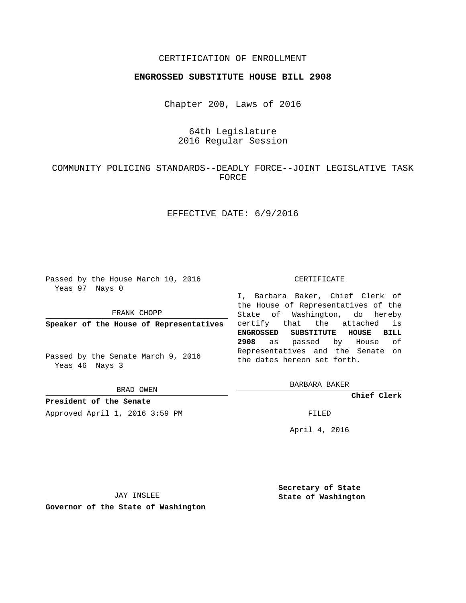## CERTIFICATION OF ENROLLMENT

## **ENGROSSED SUBSTITUTE HOUSE BILL 2908**

Chapter 200, Laws of 2016

# 64th Legislature 2016 Regular Session

# COMMUNITY POLICING STANDARDS--DEADLY FORCE--JOINT LEGISLATIVE TASK FORCE

## EFFECTIVE DATE: 6/9/2016

Passed by the House March 10, 2016 Yeas 97 Nays 0

FRANK CHOPP

**Speaker of the House of Representatives**

Passed by the Senate March 9, 2016 Yeas 46 Nays 3

BRAD OWEN

**President of the Senate**

Approved April 1, 2016 3:59 PM FILED

#### CERTIFICATE

I, Barbara Baker, Chief Clerk of the House of Representatives of the State of Washington, do hereby certify that the attached is **ENGROSSED SUBSTITUTE HOUSE BILL 2908** as passed by House of Representatives and the Senate on the dates hereon set forth.

BARBARA BAKER

**Chief Clerk**

April 4, 2016

JAY INSLEE

**Governor of the State of Washington**

**Secretary of State State of Washington**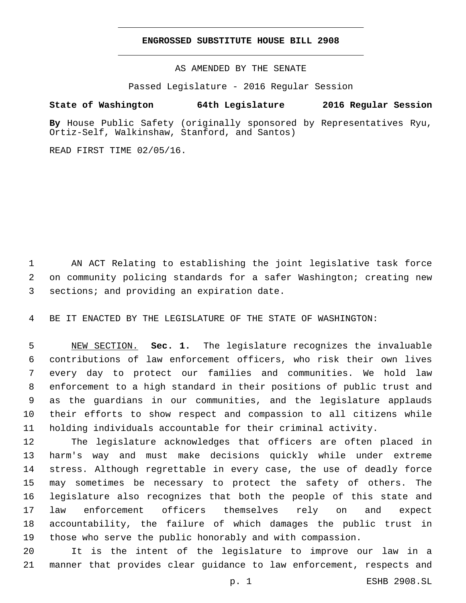### **ENGROSSED SUBSTITUTE HOUSE BILL 2908**

AS AMENDED BY THE SENATE

Passed Legislature - 2016 Regular Session

# **State of Washington 64th Legislature 2016 Regular Session**

**By** House Public Safety (originally sponsored by Representatives Ryu, Ortiz-Self, Walkinshaw, Stanford, and Santos)

READ FIRST TIME 02/05/16.

 AN ACT Relating to establishing the joint legislative task force on community policing standards for a safer Washington; creating new 3 sections; and providing an expiration date.

BE IT ENACTED BY THE LEGISLATURE OF THE STATE OF WASHINGTON:

 NEW SECTION. **Sec. 1.** The legislature recognizes the invaluable contributions of law enforcement officers, who risk their own lives every day to protect our families and communities. We hold law enforcement to a high standard in their positions of public trust and as the guardians in our communities, and the legislature applauds their efforts to show respect and compassion to all citizens while holding individuals accountable for their criminal activity.

 The legislature acknowledges that officers are often placed in harm's way and must make decisions quickly while under extreme stress. Although regrettable in every case, the use of deadly force may sometimes be necessary to protect the safety of others. The legislature also recognizes that both the people of this state and law enforcement officers themselves rely on and expect accountability, the failure of which damages the public trust in those who serve the public honorably and with compassion.

 It is the intent of the legislature to improve our law in a manner that provides clear guidance to law enforcement, respects and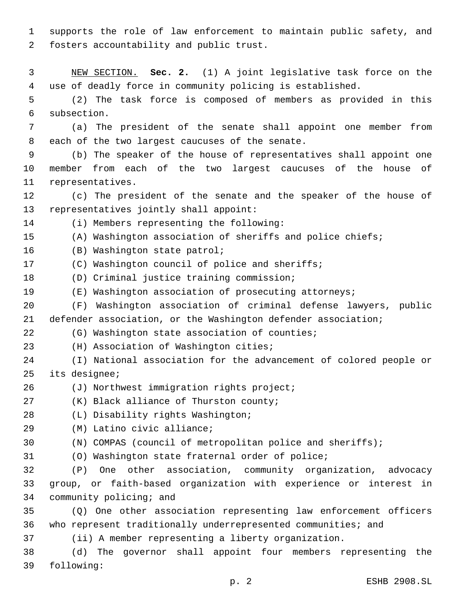1 supports the role of law enforcement to maintain public safety, and 2 fosters accountability and public trust.

3 NEW SECTION. **Sec. 2.** (1) A joint legislative task force on the 4 use of deadly force in community policing is established.

5 (2) The task force is composed of members as provided in this 6 subsection.

7 (a) The president of the senate shall appoint one member from 8 each of the two largest caucuses of the senate.

9 (b) The speaker of the house of representatives shall appoint one 10 member from each of the two largest caucuses of the house of 11 representatives.

12 (c) The president of the senate and the speaker of the house of 13 representatives jointly shall appoint:

(i) Members representing the following:14

15 (A) Washington association of sheriffs and police chiefs;

16 (B) Washington state patrol;

17 (C) Washington council of police and sheriffs;

18 (D) Criminal justice training commission;

19 (E) Washington association of prosecuting attorneys;

20 (F) Washington association of criminal defense lawyers, public 21 defender association, or the Washington defender association;

22 (G) Washington state association of counties;

23 (H) Association of Washington cities;

- 24 (I) National association for the advancement of colored people or 25 its designee;
- 26 (J) Northwest immigration rights project;

27 (K) Black alliance of Thurston county;

(L) Disability rights Washington;28

- (M) Latino civic alliance;29
- 30 (N) COMPAS (council of metropolitan police and sheriffs);

31 (O) Washington state fraternal order of police;

32 (P) One other association, community organization, advocacy 33 group, or faith-based organization with experience or interest in 34 community policing; and

35 (Q) One other association representing law enforcement officers 36 who represent traditionally underrepresented communities; and

37 (ii) A member representing a liberty organization.

38 (d) The governor shall appoint four members representing the 39 following: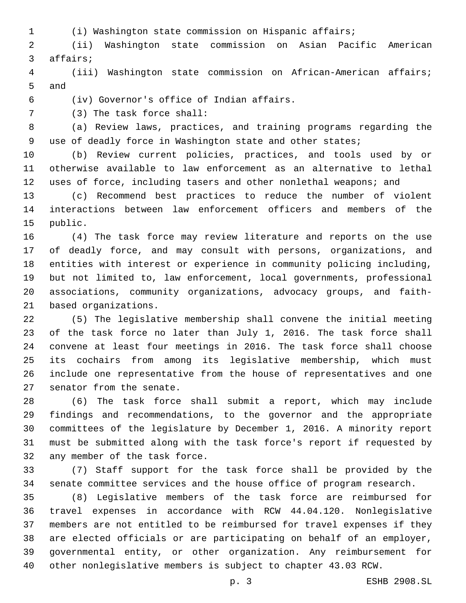- 
- (i) Washington state commission on Hispanic affairs;

 (ii) Washington state commission on Asian Pacific American 3 affairs;

 (iii) Washington state commission on African-American affairs; 5 and

(iv) Governor's office of Indian affairs.6

7 (3) The task force shall:

 (a) Review laws, practices, and training programs regarding the use of deadly force in Washington state and other states;

 (b) Review current policies, practices, and tools used by or otherwise available to law enforcement as an alternative to lethal uses of force, including tasers and other nonlethal weapons; and

 (c) Recommend best practices to reduce the number of violent interactions between law enforcement officers and members of the 15 public.

 (4) The task force may review literature and reports on the use of deadly force, and may consult with persons, organizations, and entities with interest or experience in community policing including, but not limited to, law enforcement, local governments, professional associations, community organizations, advocacy groups, and faith-21 based organizations.

 (5) The legislative membership shall convene the initial meeting of the task force no later than July 1, 2016. The task force shall convene at least four meetings in 2016. The task force shall choose its cochairs from among its legislative membership, which must include one representative from the house of representatives and one 27 senator from the senate.

 (6) The task force shall submit a report, which may include findings and recommendations, to the governor and the appropriate committees of the legislature by December 1, 2016. A minority report must be submitted along with the task force's report if requested by 32 any member of the task force.

 (7) Staff support for the task force shall be provided by the senate committee services and the house office of program research.

 (8) Legislative members of the task force are reimbursed for travel expenses in accordance with RCW 44.04.120. Nonlegislative members are not entitled to be reimbursed for travel expenses if they are elected officials or are participating on behalf of an employer, governmental entity, or other organization. Any reimbursement for other nonlegislative members is subject to chapter 43.03 RCW.